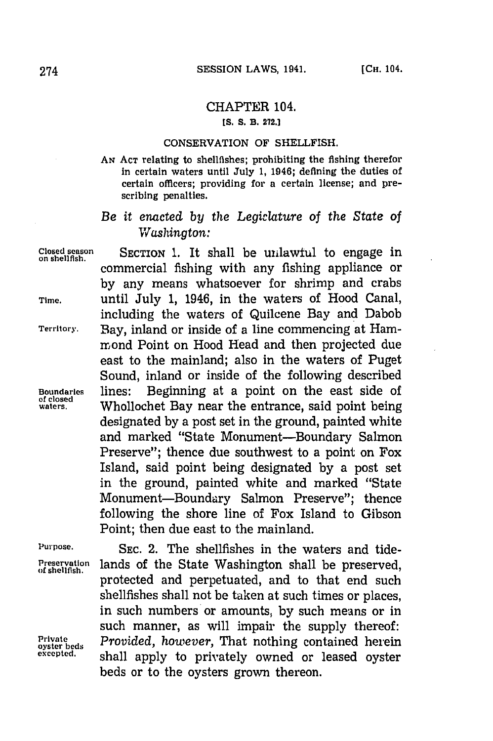## CHAPTER 104.

## **IS. S. B. 272.]**

## CONSERVATION OF SHELLFISH.

**AN ACT** relating to sheilfishes; prohibiting the fishing therefor in certain waters until July **1,** 1946; defining the duties of certain officers; providing for a certain license; and prescribing penalties.

## *Be it enacted by the Legicdature of the State of W'ashington:*

Closed season SECTION 1. It shall be unilawful to engage in commercial fishing with any fishing appliance or **by** any means whatsoever for shrimp and crabs **Time,** until July **1,** 1946, in the waters of Hood Canal, including the waters of Quilcene Bay and Dabob Territory. Bay, inland or inside of a line commencing at Hammond Point on Hood Head and then projected due east to the mainland; also in the waters of Puget Sound, inland or inside of the following described Boundaries lines: Beginning at a point on the east side of of closed<br>waters Whollochet Bay near the entrance, said point being designated **by** a post set in the ground, painted white and marked "State Monument-Boundary Salmon Preserve"; thence due southwest to a point on Fox Island, said point being designated **by** a post set in the ground, painted white and marked "State Monument-Boundary Salmon Preserve"; thence following the shore line of Fox Island to Gibson Point; then due east to the mainland.

Purpose. **SEC.** 2. The shellfishes in the waters and tide-Preservation lands of the State Washington shall be preserved, protected and perpetuated, and to that end such shellfishes shall not be taken at such times or places, in such numbers or amounts, **by** such means or in such manner, as will impair the supply thereof: Private Provided, however, That nothing contained herein<br>excepted. **shall annly to privately owned on local curting** shall apply to privately owned or leased oyster beds or to the oysters grown thereon.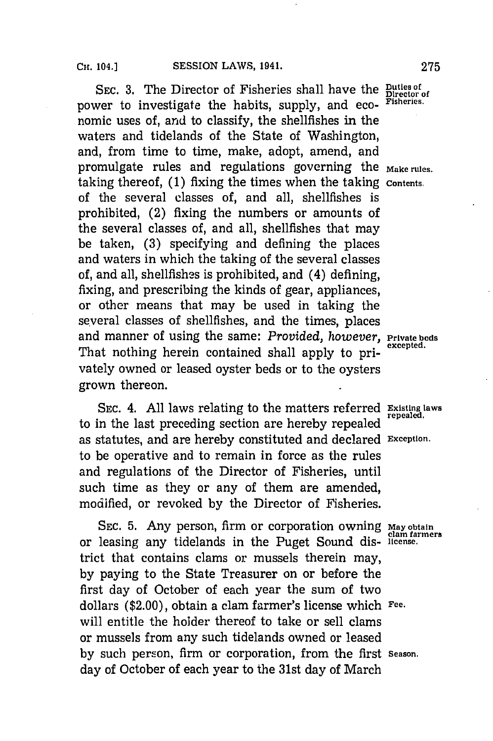SEC. 3. The Director of Fisheries shall have the **Dutles of** organization of **Director** of **Director** or **Director** or **Director** states. power to investigate the habits, supply, and economic uses of, and to classify, the shellfishes in the waters and tidelands of the State of Washington, and, from time to time, make, adopt, amend, and promulgate rules and regulations governing the **Make rules.** taking thereof, **(1)** fixing the times when the taking **Contents..** of the several classes of, and all, shellfishes is prohibited, (2) fixing the numbers or amounts of the several classes of, and all, shellfishes that may be taken, **(3)** specifying and defining the places and waters in which the taking of the several classes of, and all, shellfishes is prohibited, and (4) defining, fixing, and prescribing the kinds of gear, appliances, or other means that may be used in taking the several classes of shellfishes, and the times, places and manner of using the same: *Provided, however*, **Private beds** That nothing herein contained shall apply to privately owned or leased oyster beds or to the oysters grown thereon.

**SEC.** 4. **All** laws relating to the matters referred **Existing laws** to in the last preceding section are hereby repealed **repealed.** as statutes, and are hereby constituted and declared **Exception.** to be operative and to remain in force as the rules and regulations of the Director of Fisheries, until such time as they or any of them are amended, modified, or revoked **by** the Director of Fisheries.

**SEC. 5.** Any person, firm or corporation owning **May obtain clamfarmer,** or leasing any tidelands in the Puget Sound dis- **license.** trict that contains clams or mussels therein may, **by** paying to the State Treasurer on or before the first day of October of each year the sum of two dollars (\$2.00), obtain a clam farmer's license which **Fee.** will entitle the holder thereof to take or sell clams or mussels from any such tidelands owned or leased **by** such person, firm or corporation, from the first **Season.** day of October of each year to the 31st day of March